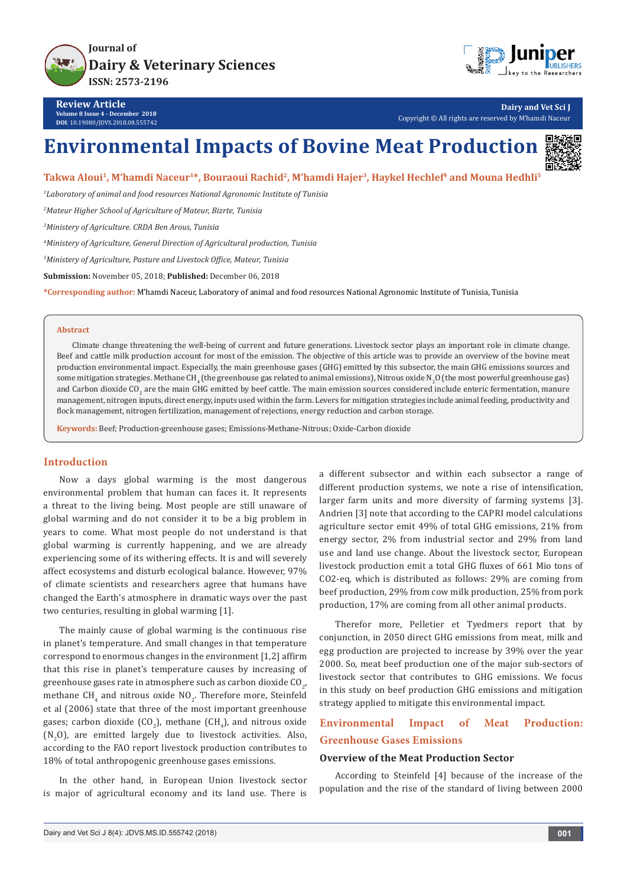



**Review Article Volume 8 Issue 4 - December 2018 DOI**: [10.19080/JDVS.2018.08.555742](http://dx.doi.org/10.19080/JDVS.2018.08.555742)

**Dairy and Vet Sci J** Copyright © All rights are reserved by M'hamdi Naceur

# **Environmental Impacts of Bovine Meat Production**



## Takwa Aloui<sup>1</sup>, M'hamdi Naceur<sup>1\*</sup>, Bouraoui Rachid<sup>2</sup>, M'hamdi Hajer<sup>3</sup>, Haykel Hechlef<sup>4</sup> and Mouna Hedhli<sup>5</sup>

*1 Laboratory of animal and food resources National Agronomic Institute of Tunisia*

*2 Mateur Higher School of Agriculture of Mateur, Bizrte, Tunisia*

*3 Ministery of Agriculture. CRDA Ben Arous, Tunisia*

*4 Ministery of Agriculture, General Direction of Agricultural production, Tunisia*

*5 Ministery of Agriculture, Pasture and Livestock Office, Mateur, Tunisia*

**Submission:** November 05, 2018; **Published:** December 06, 2018

**\*Corresponding author:** M'hamdi Naceur, Laboratory of animal and food resources National Agronomic Institute of Tunisia, Tunisia

#### **Abstract**

Climate change threatening the well-being of current and future generations. Livestock sector plays an important role in climate change. Beef and cattle milk production account for most of the emission. The objective of this article was to provide an overview of the bovine meat production environmental impact. Especially, the main greenhouse gases (GHG) emitted by this subsector, the main GHG emissions sources and some mitigation strategies. Methane CH<sub>4</sub> (the greenhouse gas related to animal emissions), Nitrous oxide N<sub>2</sub>O (the most powerful greenhouse gas) and Carbon dioxide CO<sub>2</sub> are the main GHG emitted by beef cattle. The main emission sources considered include enteric fermentation, manure management, nitrogen inputs, direct energy, inputs used within the farm. Levers for mitigation strategies include animal feeding, productivity and flock management, nitrogen fertilization, management of rejections, energy reduction and carbon storage.

**Keywords:** Beef; Production-greenhouse gases; Emissions-Methane-Nitrous; Oxide-Carbon dioxide

## **Introduction**

Now a days global warming is the most dangerous environmental problem that human can faces it. It represents a threat to the living being. Most people are still unaware of global warming and do not consider it to be a big problem in years to come. What most people do not understand is that global warming is currently happening, and we are already experiencing some of its withering effects. It is and will severely affect ecosystems and disturb ecological balance. However, 97% of climate scientists and researchers agree that humans have changed the Earth's atmosphere in dramatic ways over the past two centuries, resulting in global warming [1].

The mainly cause of global warming is the continuous rise in planet's temperature. And small changes in that temperature correspond to enormous changes in the environment [1,2] affirm that this rise in planet's temperature causes by increasing of greenhouse gases rate in atmosphere such as carbon dioxide CO<sub>2</sub>, methane CH $_4$  and nitrous oxide NO $_2$ . Therefore more, Steinfeld et al (2006) state that three of the most important greenhouse gases; carbon dioxide (CO<sub>2</sub>), methane (CH<sub>4</sub>), and nitrous oxide  $(N_2O)$ , are emitted largely due to livestock activities. Also, according to the FAO report livestock production contributes to 18% of total anthropogenic greenhouse gases emissions.

In the other hand, in European Union livestock sector is major of agricultural economy and its land use. There is

a different subsector and within each subsector a range of different production systems, we note a rise of intensification, larger farm units and more diversity of farming systems [3]. Andrien [3] note that according to the CAPRI model calculations agriculture sector emit 49% of total GHG emissions, 21% from energy sector, 2% from industrial sector and 29% from land use and land use change. About the livestock sector, European livestock production emit a total GHG fluxes of 661 Mio tons of CO2-eq, which is distributed as follows: 29% are coming from beef production, 29% from cow milk production, 25% from pork production, 17% are coming from all other animal products.

Therefor more, Pelletier et Tyedmers report that by conjunction, in 2050 direct GHG emissions from meat, milk and egg production are projected to increase by 39% over the year 2000. So, meat beef production one of the major sub-sectors of livestock sector that contributes to GHG emissions. We focus in this study on beef production GHG emissions and mitigation strategy applied to mitigate this environmental impact.

# **Environmental Impact of Meat Production: Greenhouse Gases Emissions**

#### **Overview of the Meat Production Sector**

According to Steinfeld [4] because of the increase of the population and the rise of the standard of living between 2000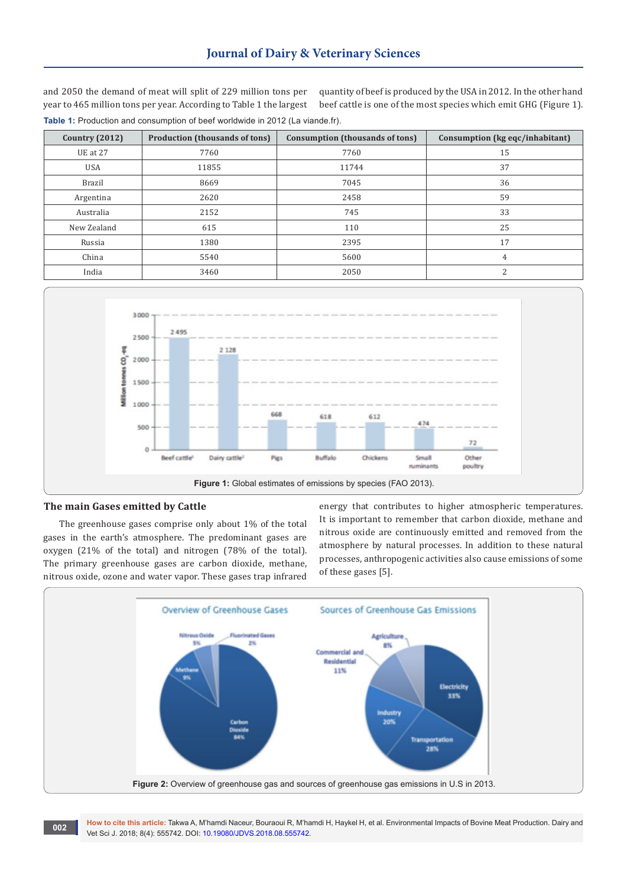and 2050 the demand of meat will split of 229 million tons per year to 465 million tons per year. According to Table 1 the largest **Table 1:** Production and consumption of beef worldwide in 2012 (La viande.fr).

quantity of beef is produced by the USA in 2012. In the other hand beef cattle is one of the most species which emit GHG (Figure 1).

| Country $(2012)$ | <b>Production (thousands of tons)</b> | Consumption (thousands of tons) | Consumption (kg eqc/inhabitant) |
|------------------|---------------------------------------|---------------------------------|---------------------------------|
| UE at 27         | 7760                                  | 7760                            | 15                              |
| <b>USA</b>       | 11855<br>11744                        |                                 | 37                              |
| <b>Brazil</b>    | 8669<br>7045                          |                                 | 36                              |
| Argentina        | 2620                                  | 2458                            | 59                              |
| Australia        | 2152                                  | 745                             | 33                              |
| New Zealand      | 615                                   | 110                             | 25                              |
| Russia           | 1380                                  | 2395                            | 17                              |
| China            | 5540                                  | 5600                            | 4                               |
| India            | 3460                                  | 2050                            | 2                               |



#### **The main Gases emitted by Cattle**

The greenhouse gases comprise only about 1% of the total gases in the earth's atmosphere. The predominant gases are oxygen (21% of the total) and nitrogen (78% of the total). The primary greenhouse gases are carbon dioxide, methane, nitrous oxide, ozone and water vapor. These gases trap infrared energy that contributes to higher atmospheric temperatures. It is important to remember that carbon dioxide, methane and nitrous oxide are continuously emitted and removed from the atmosphere by natural processes. In addition to these natural processes, anthropogenic activities also cause emissions of some of these gases [5].



**How to cite this article:** Takwa A, M'hamdi Naceur, Bouraoui R, M'hamdi H, Haykel H, et al. Environmental Impacts of Bovine Meat Production. Dairy and **100 Text Concernsion Concernsion**: 18KWa A, M hamal Naceur, Bouraoul R, M hamal Vet Sci J. 2018; 8(4): 555742. **DOI: [10.19080/JDVS.2018.08.555742.](http://dx.doi.org/10.19080/JDVS.2018.08.555742)**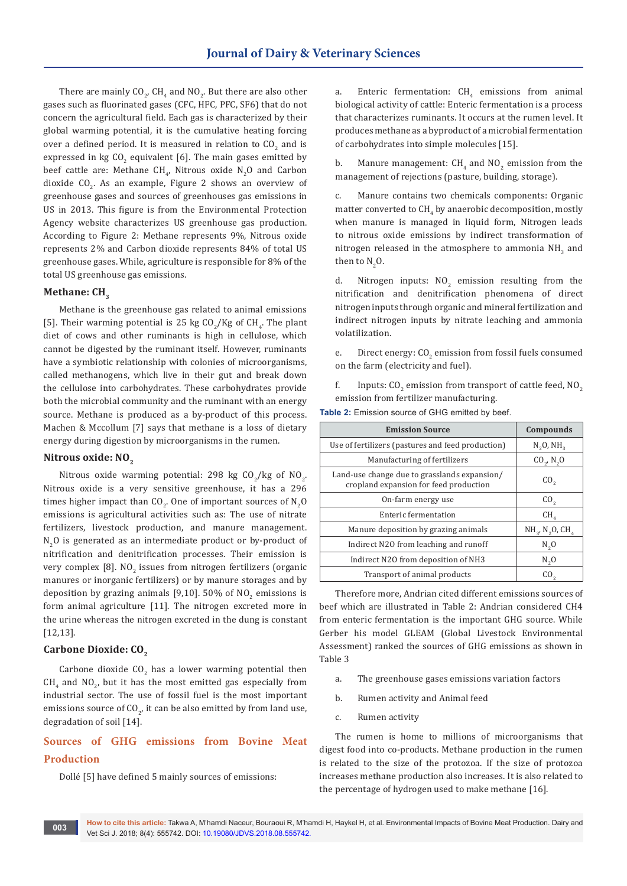There are mainly  $CO_{2'}$  CH<sub>4</sub> and NO<sub>2</sub>. But there are also other gases such as fluorinated gases (CFC, HFC, PFC, SF6) that do not concern the agricultural field. Each gas is characterized by their global warming potential, it is the cumulative heating forcing over a defined period. It is measured in relation to  $\mathfrak{CO}_{_2}$  and is expressed in kg  $\text{CO}_2$  equivalent [6]. The main gases emitted by beef cattle are: Methane  $CH_{4'}$  Nitrous oxide  $N_2O$  and Carbon dioxide  $CO_{2}$ . As an example, Figure 2 shows an overview of greenhouse gases and sources of greenhouses gas emissions in US in 2013. This figure is from the Environmental Protection Agency website characterizes US greenhouse gas production. According to Figure 2: Methane represents 9%, Nitrous oxide represents 2% and Carbon dioxide represents 84% of total US greenhouse gases. While, agriculture is responsible for 8% of the total US greenhouse gas emissions.

## **Methane: CH<sub>2</sub>**

Methane is the greenhouse gas related to animal emissions [5]. Their warming potential is 25 kg  $CO_{2}/$ Kg of  $CH_{4}$ . The plant diet of cows and other ruminants is high in cellulose, which cannot be digested by the ruminant itself. However, ruminants have a symbiotic relationship with colonies of microorganisms, called methanogens, which live in their gut and break down the cellulose into carbohydrates. These carbohydrates provide both the microbial community and the ruminant with an energy source. Methane is produced as a by-product of this process. Machen & Mccollum [7] says that methane is a loss of dietary energy during digestion by microorganisms in the rumen.

#### **Nitrous oxide: NO<sub>2</sub>**

Nitrous oxide warming potential: 298 kg  $CO_2$ /kg of NO<sub>2</sub>. Nitrous oxide is a very sensitive greenhouse, it has a 296 times higher impact than CO<sub>2</sub>. One of important sources of  $N_2O$ emissions is agricultural activities such as: The use of nitrate fertilizers, livestock production, and manure management.  $N_2$ O is generated as an intermediate product or by-product of nitrification and denitrification processes. Their emission is very complex [8].  $\mathsf{NO}_2$  issues from nitrogen fertilizers (organic manures or inorganic fertilizers) or by manure storages and by deposition by grazing animals [9,10]. 50% of  $NO_2$  emissions is form animal agriculture [11]. The nitrogen excreted more in the urine whereas the nitrogen excreted in the dung is constant [12,13].

# Carbone Dioxide: CO<sub>2</sub>

Carbone dioxide  $CO<sub>2</sub>$  has a lower warming potential then  $CH_4$  and  $NO_{2'}$  but it has the most emitted gas especially from industrial sector. The use of fossil fuel is the most important emissions source of CO<sub>2</sub>, it can be also emitted by from land use, degradation of soil [14].

# **Sources of GHG emissions from Bovine Meat Production**

Dollé [5] have defined 5 mainly sources of emissions:

a. Enteric fermentation:  $CH<sub>4</sub>$  emissions from animal biological activity of cattle: Enteric fermentation is a process that characterizes ruminants. It occurs at the rumen level. It produces methane as a byproduct of a microbial fermentation of carbohydrates into simple molecules [15].

b. Manure management:  $CH_4$  and  $NO_2$  emission from the management of rejections (pasture, building, storage).

c. Manure contains two chemicals components: Organic matter converted to  $\text{CH}_4$  by anaerobic decomposition, mostly when manure is managed in liquid form, Nitrogen leads to nitrous oxide emissions by indirect transformation of nitrogen released in the atmosphere to ammonia  $NH_{3}$  and then to  $N_2O$ .

d. Nitrogen inputs:  $NO<sub>2</sub>$  emission resulting from the nitrification and denitrification phenomena of direct nitrogen inputs through organic and mineral fertilization and indirect nitrogen inputs by nitrate leaching and ammonia volatilization.

e. Direct energy:  $CO<sub>2</sub>$  emission from fossil fuels consumed on the farm (electricity and fuel).

f. Inputs: CO<sub>2</sub> emission from transport of cattle feed, NO<sub>2</sub> emission from fertilizer manufacturing.

| <b>Emission Source</b>                                                                 | Compounds                                 |
|----------------------------------------------------------------------------------------|-------------------------------------------|
| Use of fertilizers (pastures and feed production)                                      | $N_2O$ , $NH_2$                           |
| Manufacturing of fertilizers                                                           | $CO_{2}$ , N <sub>2</sub> O               |
| Land-use change due to grasslands expansion/<br>cropland expansion for feed production | CO <sub>2</sub>                           |
| On-farm energy use                                                                     | CO <sub>2</sub>                           |
| Enteric fermentation                                                                   | CH <sub>4</sub>                           |
| Manure deposition by grazing animals                                                   | $NH3$ , N <sub>2</sub> O, CH <sub>4</sub> |
| Indirect N20 from leaching and runoff                                                  | $N_{2}$ O                                 |
| Indirect N20 from deposition of NH3                                                    | $N_{2}$ O                                 |
| Transport of animal products                                                           | CO.                                       |

**Table 2:** Emission source of GHG emitted by beef.

Therefore more, Andrian cited different emissions sources of beef which are illustrated in Table 2: Andrian considered CH4 from enteric fermentation is the important GHG source. While Gerber his model GLEAM (Global Livestock Environmental Assessment) ranked the sources of GHG emissions as shown in Table 3

- a. The greenhouse gases emissions variation factors
- b. Rumen activity and Animal feed
- c. Rumen activity

The rumen is home to millions of microorganisms that digest food into co-products. Methane production in the rumen is related to the size of the protozoa. If the size of protozoa increases methane production also increases. It is also related to the percentage of hydrogen used to make methane [16].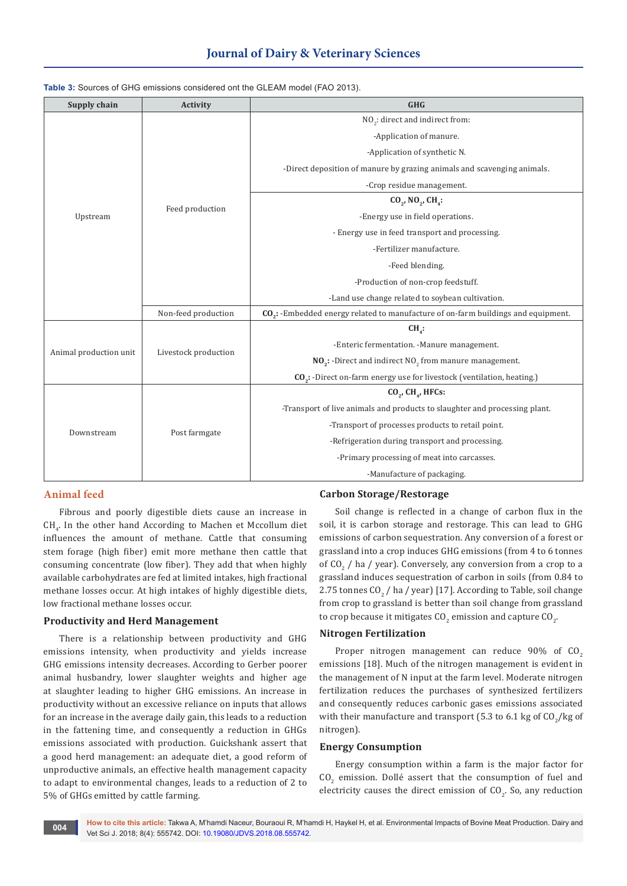# **Journal of Dairy & Veterinary Sciences**

| Supply chain           | <b>Activity</b>      | <b>GHG</b>                                                                                    |  |
|------------------------|----------------------|-----------------------------------------------------------------------------------------------|--|
|                        |                      | NO <sub>2</sub> : direct and indirect from:                                                   |  |
|                        |                      | -Application of manure.                                                                       |  |
|                        |                      | -Application of synthetic N.                                                                  |  |
|                        | Feed production      | -Direct deposition of manure by grazing animals and scavenging animals.                       |  |
|                        |                      | -Crop residue management.                                                                     |  |
|                        |                      | $CO_{2}$ , NO <sub>2</sub> , CH <sub>4</sub> :                                                |  |
| Upstream               |                      | -Energy use in field operations.                                                              |  |
|                        |                      | - Energy use in feed transport and processing.                                                |  |
|                        |                      | -Fertilizer manufacture.                                                                      |  |
|                        |                      | -Feed blending.                                                                               |  |
|                        |                      | -Production of non-crop feedstuff.                                                            |  |
|                        |                      | -Land use change related to soybean cultivation.                                              |  |
|                        | Non-feed production  | CO <sub>2</sub> : -Embedded energy related to manufacture of on-farm buildings and equipment. |  |
| Animal production unit | Livestock production | $CH4$ :                                                                                       |  |
|                        |                      | -Enteric fermentation. -Manure management.                                                    |  |
|                        |                      | $NO2$ : -Direct and indirect NO <sub>2</sub> from manure management.                          |  |
|                        |                      | CO <sub>2</sub> : -Direct on-farm energy use for livestock (ventilation, heating.)            |  |
| Downstream             | Post farmgate        | $CO2$ , $CH4$ , HFCs:                                                                         |  |
|                        |                      | -Transport of live animals and products to slaughter and processing plant.                    |  |
|                        |                      | -Transport of processes products to retail point.                                             |  |
|                        |                      | -Refrigeration during transport and processing.                                               |  |
|                        |                      | -Primary processing of meat into carcasses.                                                   |  |
|                        |                      | -Manufacture of packaging.                                                                    |  |

#### **Table 3:** Sources of GHG emissions considered ont the GLEAM model (FAO 2013).

# **Animal feed**

Fibrous and poorly digestible diets cause an increase in  $CH_{4}$ . In the other hand According to Machen et Mccollum diet influences the amount of methane. Cattle that consuming stem forage (high fiber) emit more methane then cattle that consuming concentrate (low fiber). They add that when highly available carbohydrates are fed at limited intakes, high fractional methane losses occur. At high intakes of highly digestible diets, low fractional methane losses occur.

#### **Productivity and Herd Management**

There is a relationship between productivity and GHG emissions intensity, when productivity and yields increase GHG emissions intensity decreases. According to Gerber poorer animal husbandry, lower slaughter weights and higher age at slaughter leading to higher GHG emissions. An increase in productivity without an excessive reliance on inputs that allows for an increase in the average daily gain, this leads to a reduction in the fattening time, and consequently a reduction in GHGs emissions associated with production. Guickshank assert that a good herd management: an adequate diet, a good reform of unproductive animals, an effective health management capacity to adapt to environmental changes, leads to a reduction of 2 to 5% of GHGs emitted by cattle farming.

#### **Carbon Storage/Restorage**

Soil change is reflected in a change of carbon flux in the soil, it is carbon storage and restorage. This can lead to GHG emissions of carbon sequestration. Any conversion of a forest or grassland into a crop induces GHG emissions (from 4 to 6 tonnes of CO<sub>2</sub> / ha / year). Conversely, any conversion from a crop to a grassland induces sequestration of carbon in soils (from 0.84 to 2.75 tonnes  $CO_2$  / ha / year) [17]. According to Table, soil change from crop to grassland is better than soil change from grassland to crop because it mitigates CO<sub>2</sub> emission and capture CO<sub>2</sub>.

#### **Nitrogen Fertilization**

Proper nitrogen management can reduce  $90\%$  of  $CO<sub>2</sub>$ emissions [18]. Much of the nitrogen management is evident in the management of N input at the farm level. Moderate nitrogen fertilization reduces the purchases of synthesized fertilizers and consequently reduces carbonic gases emissions associated with their manufacture and transport (5.3 to 6.1 kg of  $\mathrm{CO}_2/\mathrm{kg}$  of nitrogen).

## **Energy Consumption**

Energy consumption within a farm is the major factor for  $CO<sub>2</sub>$  emission. Dollé assert that the consumption of fuel and electricity causes the direct emission of  $CO<sub>2</sub>$ . So, any reduction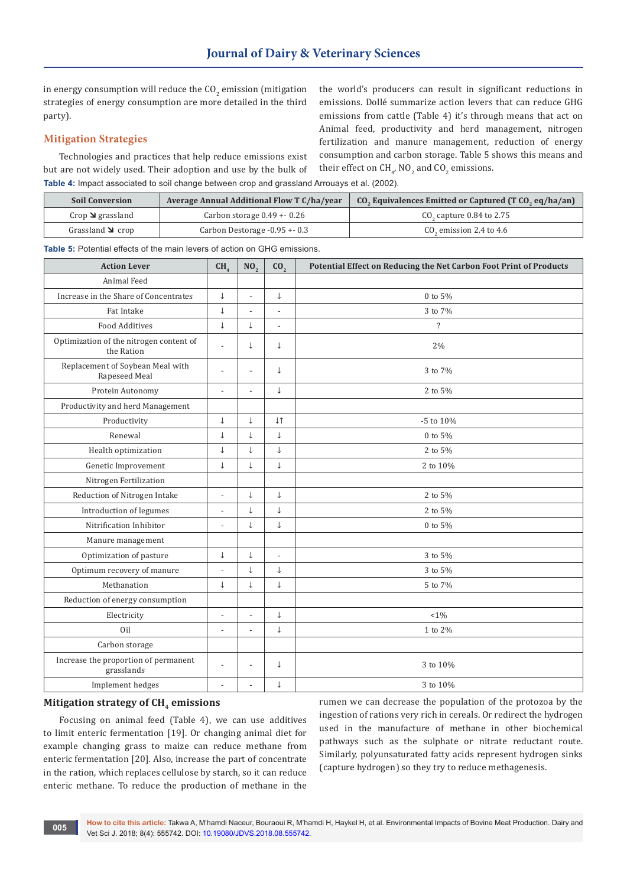in energy consumption will reduce the  $\mathop{\rm CO}_{2}$  emission (mitigation strategies of energy consumption are more detailed in the third party).

# **Mitigation Strategies**

Technologies and practices that help reduce emissions exist but are not widely used. Their adoption and use by the bulk of **Table 4:** Impact associated to soil change between crop and grassland Arrouays et al. (2002).

the world's producers can result in significant reductions in emissions. Dollé summarize action levers that can reduce GHG emissions from cattle (Table 4) it's through means that act on Animal feed, productivity and herd management, nitrogen fertilization and manure management, reduction of energy consumption and carbon storage. Table 5 shows this means and their effect on CH<sub>4</sub>, NO<sub>2</sub> and CO<sub>2</sub> emissions.

| <b>Soil Conversion</b>         | Average Annual Additional Flow T C/ha/year | CO <sub>2</sub> Equivalences Emitted or Captured (T CO <sub>2</sub> eq/ha/an) |  |
|--------------------------------|--------------------------------------------|-------------------------------------------------------------------------------|--|
| Crop $\triangleleft$ grassland | Carbon storage $0.49 + 0.26$               | $CO2$ capture 0.84 to 2.75                                                    |  |
| Grassland $\triangle$ crop     | Carbon Destorage $-0.95 + 0.3$             | $CO2$ emission 2.4 to 4.6                                                     |  |

**Table 5:** Potential effects of the main levers of action on GHG emissions.

| <b>Action Lever</b>                                   | CH <sub>4</sub> | NO <sub>2</sub> | CO <sub>2</sub>          | Potential Effect on Reducing the Net Carbon Foot Print of Products |
|-------------------------------------------------------|-----------------|-----------------|--------------------------|--------------------------------------------------------------------|
| Animal Feed                                           |                 |                 |                          |                                                                    |
| Increase in the Share of Concentrates                 | $\downarrow$    | $\overline{a}$  | $\downarrow$             | 0 to 5%                                                            |
| Fat Intake                                            |                 | L,              | $\overline{a}$           | 3 to 7%                                                            |
| <b>Food Additives</b>                                 | $\downarrow$    | $\downarrow$    | $\overline{a}$           | $\overline{\cdot}$                                                 |
| Optimization of the nitrogen content of<br>the Ration |                 | $\downarrow$    | $\downarrow$             | 2%                                                                 |
| Replacement of Soybean Meal with<br>Rapeseed Meal     | $\overline{a}$  | $\overline{a}$  | $\downarrow$             | 3 to 7%                                                            |
| Protein Autonomy                                      | $\overline{a}$  | $\overline{a}$  | $\downarrow$             | 2 to 5%                                                            |
| Productivity and herd Management                      |                 |                 |                          |                                                                    |
| Productivity                                          | $\downarrow$    | $\downarrow$    | $\downarrow$ $\uparrow$  | $-5$ to $10%$                                                      |
| Renewal                                               | $\downarrow$    | $\downarrow$    | $\downarrow$             | 0 to 5%                                                            |
| Health optimization                                   | $\downarrow$    | $\downarrow$    | $\downarrow$             | 2 to 5%                                                            |
| Genetic Improvement                                   | $\downarrow$    | $\downarrow$    | $\downarrow$             | 2 to 10%                                                           |
| Nitrogen Fertilization                                |                 |                 |                          |                                                                    |
| Reduction of Nitrogen Intake                          | Ĭ.              | $\downarrow$    | $\downarrow$             | 2 to 5%                                                            |
| Introduction of legumes                               | ÷,              | $\downarrow$    | $\downarrow$             | 2 to 5%                                                            |
| Nitrification Inhibitor                               | ÷,              | $\downarrow$    | $\downarrow$             | $0$ to $5\%$                                                       |
| Manure management                                     |                 |                 |                          |                                                                    |
| Optimization of pasture                               | $\downarrow$    | $\downarrow$    | $\overline{\phantom{a}}$ | 3 to 5%                                                            |
| Optimum recovery of manure                            | $\overline{a}$  | $\downarrow$    | $\downarrow$             | 3 to 5%                                                            |
| Methanation                                           | $\downarrow$    | $\downarrow$    | $\downarrow$             | 5 to 7%                                                            |
| Reduction of energy consumption                       |                 |                 |                          |                                                                    |
| Electricity                                           | $\overline{a}$  | $\overline{a}$  | $\downarrow$             | $< 1\%$                                                            |
| Oil                                                   |                 |                 | $\downarrow$             | 1 to 2%                                                            |
| Carbon storage                                        |                 |                 |                          |                                                                    |
| Increase the proportion of permanent<br>grasslands    | $\overline{a}$  | $\overline{a}$  | $\downarrow$             | 3 to 10%                                                           |
| Implement hedges                                      | $\overline{a}$  | $\overline{a}$  | $\downarrow$             | 3 to 10%                                                           |

#### **Mitigation strategy of CH<sub>4</sub> emissions**

Focusing on animal feed (Table 4), we can use additives to limit enteric fermentation [19]. Or changing animal diet for example changing grass to maize can reduce methane from enteric fermentation [20]. Also, increase the part of concentrate in the ration, which replaces cellulose by starch, so it can reduce enteric methane. To reduce the production of methane in the

rumen we can decrease the population of the protozoa by the ingestion of rations very rich in cereals. Or redirect the hydrogen used in the manufacture of methane in other biochemical pathways such as the sulphate or nitrate reductant route. Similarly, polyunsaturated fatty acids represent hydrogen sinks (capture hydrogen) so they try to reduce methagenesis.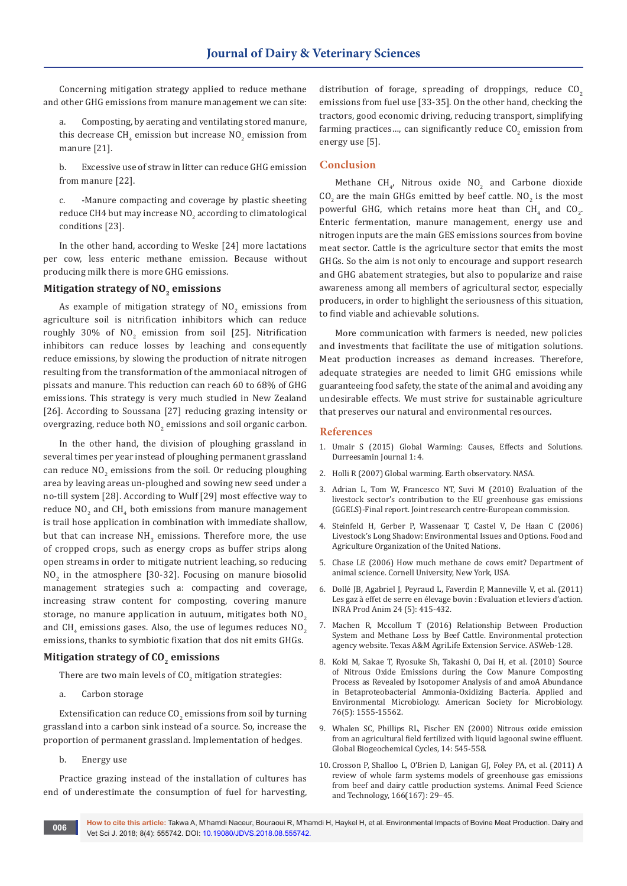Concerning mitigation strategy applied to reduce methane and other GHG emissions from manure management we can site:

Composting, by aerating and ventilating stored manure, this decrease CH $_4$  emission but increase NO $_2$  emission from manure [21].

b. Excessive use of straw in litter can reduce GHG emission from manure [22].

c. -Manure compacting and coverage by plastic sheeting reduce CH4 but may increase NO $_2$  according to climatological conditions [23].

In the other hand, according to Weske [24] more lactations per cow, less enteric methane emission. Because without producing milk there is more GHG emissions.

## **Mitigation strategy of NO<sub>2</sub> emissions**

As example of mitigation strategy of  $\text{NO}_2$  emissions from agriculture soil is nitrification inhibitors which can reduce roughly 30% of NO<sub>2</sub> emission from soil [25]. Nitrification inhibitors can reduce losses by leaching and consequently reduce emissions, by slowing the production of nitrate nitrogen resulting from the transformation of the ammoniacal nitrogen of pissats and manure. This reduction can reach 60 to 68% of GHG emissions. This strategy is very much studied in New Zealand [26]. According to Soussana [27] reducing grazing intensity or overgrazing, reduce both  $\mathsf{NO}_2$  emissions and soil organic carbon.

In the other hand, the division of ploughing grassland in several times per year instead of ploughing permanent grassland can reduce  $\mathsf{NO}_2$  emissions from the soil. Or reducing ploughing area by leaving areas un-ploughed and sowing new seed under a no-till system [28]. According to Wulf [29] most effective way to reduce  $\text{NO}_2$  and  $\text{CH}_4$  both emissions from manure management is trail hose application in combination with immediate shallow, but that can increase  $NH<sub>3</sub>$  emissions. Therefore more, the use of cropped crops, such as energy crops as buffer strips along open streams in order to mitigate nutrient leaching, so reducing  $\mathsf{NO}_2$  in the atmosphere [30-32]. Focusing on manure biosolid management strategies such a: compacting and coverage, increasing straw content for composting, covering manure storage, no manure application in autuum, mitigates both  $NO<sub>2</sub>$ and CH<sub>4</sub> emissions gases. Also, the use of legumes reduces NO<sub>2</sub> emissions, thanks to symbiotic fixation that dos nit emits GHGs.

#### **Mitigation strategy of CO<sub>2</sub> emissions**

There are two main levels of  $\mathsf{CO}_2$  mitigation strategies:

a. Carbon storage

Extensification can reduce CO $_2$  emissions from soil by turning grassland into a carbon sink instead of a source. So, increase the proportion of permanent grassland. Implementation of hedges.

b. Energy use

Practice grazing instead of the installation of cultures has end of underestimate the consumption of fuel for harvesting, distribution of forage, spreading of droppings, reduce  $CO<sub>2</sub>$ emissions from fuel use [33-35]. On the other hand, checking the tractors, good economic driving, reducing transport, simplifying farming practices..., can significantly reduce  $\mathsf{CO}_2$  emission from energy use [5].

#### **Conclusion**

Methane  $CH_{4}$ , Nitrous oxide  $NO_2$  and Carbone dioxide  $CO_2$  are the main GHGs emitted by beef cattle. NO<sub>2</sub> is the most powerful GHG, which retains more heat than  $CH_4$  and  $CO_2$ . Enteric fermentation, manure management, energy use and nitrogen inputs are the main GES emissions sources from bovine meat sector. Cattle is the agriculture sector that emits the most GHGs. So the aim is not only to encourage and support research and GHG abatement strategies, but also to popularize and raise awareness among all members of agricultural sector, especially producers, in order to highlight the seriousness of this situation, to find viable and achievable solutions.

More communication with farmers is needed, new policies and investments that facilitate the use of mitigation solutions. Meat production increases as demand increases. Therefore, adequate strategies are needed to limit GHG emissions while guaranteeing food safety, the state of the animal and avoiding any undesirable effects. We must strive for sustainable agriculture that preserves our natural and environmental resources.

#### **References**

- 1. Umair S (2015) Global Warming: Causes, Effects and Solutions. Durreesamin Journal 1: 4.
- 2. Holli R (2007) Global warming. Earth observatory. NASA.
- 3. Adrian L, Tom W, Francesco NT, Suvi M (2010) Evaluation of the livestock sector's contribution to the EU greenhouse gas emissions (GGELS)-Final report. Joint research centre-European commission.
- 4. Steinfeld H, Gerber P, Wassenaar T, Castel V, De Haan C (2006) Livestock's Long Shadow: Environmental Issues and Options. Food and Agriculture Organization of the United Nations.
- 5. Chase LE (2006) How much methane de cows emit? Department of animal science. Cornell University, New York, USA.
- 6. Dollé JB, Agabriel J, Peyraud L, Faverdin P, Manneville V, et al. (2011) Les gaz à effet de serre en élevage bovin : Evaluation et leviers d'action. INRA Prod Anim 24 (5): 415-432.
- 7. Machen R, Mccollum T (2016) Relationship Between Production System and Methane Loss by Beef Cattle. Environmental protection agency website. Texas A&M AgriLife Extension Service. ASWeb-128.
- 8. [Koki M, Sakae T, Ryosuke Sh, Takashi O, Dai H, et al. \(2010\) Source](https://www.ncbi.nlm.nih.gov/pubmed/20048060)  [of Nitrous Oxide Emissions during the Cow Manure Composting](https://www.ncbi.nlm.nih.gov/pubmed/20048060)  [Process as Revealed by Isotopomer Analysis of and](https://www.ncbi.nlm.nih.gov/pubmed/20048060) amoA Abundance [in Betaproteobacterial Ammonia-Oxidizing Bacteria. Applied and](https://www.ncbi.nlm.nih.gov/pubmed/20048060)  [Environmental Microbiology. American Society for Microbiology.](https://www.ncbi.nlm.nih.gov/pubmed/20048060)  [76\(5\): 1555-15562.](https://www.ncbi.nlm.nih.gov/pubmed/20048060)
- 9. [Whalen SC, Phillips RL, Fischer EN \(2000\) Nitrous oxide emission](https://agupubs.onlinelibrary.wiley.com/doi/10.1029/1999GB900093)  [from an agricultural field fertilized with liquid lagoonal swine effluent.](https://agupubs.onlinelibrary.wiley.com/doi/10.1029/1999GB900093)  [Global Biogeochemical Cycles, 14: 545-558.](https://agupubs.onlinelibrary.wiley.com/doi/10.1029/1999GB900093)
- 10. [Crosson P, Shalloo L, O'Brien D, Lanigan GJ, Foley PA, et al. \(2011\) A](https://www.sciencedirect.com/science/article/pii/S0377840111001209)  [review of whole farm systems models of greenhouse gas emissions](https://www.sciencedirect.com/science/article/pii/S0377840111001209)  [from beef and dairy cattle production systems. Animal Feed Science](https://www.sciencedirect.com/science/article/pii/S0377840111001209)  [and Technology, 166\(167\): 29–45.](https://www.sciencedirect.com/science/article/pii/S0377840111001209)